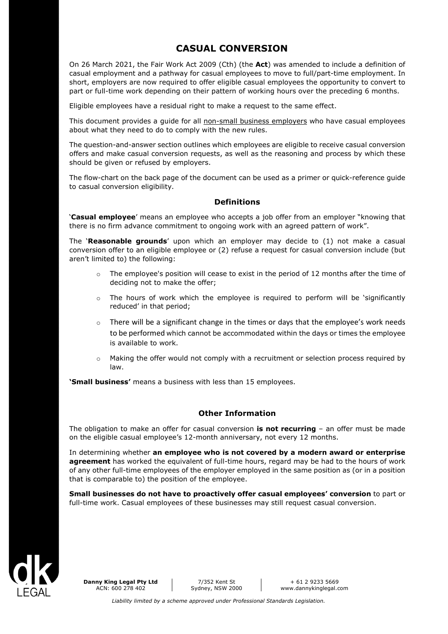# **CASUAL CONVERSION**

On 26 March 2021, the Fair Work Act 2009 (Cth) (the **Act**) was amended to include a definition of casual employment and a pathway for casual employees to move to full/part-time employment. In short, employers are now required to offer eligible casual employees the opportunity to convert to part or full-time work depending on their pattern of working hours over the preceding 6 months.

Eligible employees have a residual right to make a request to the same effect.

This document provides a quide for all non-small business employers who have casual employees about what they need to do to comply with the new rules.

The question-and-answer section outlines which employees are eligible to receive casual conversion offers and make casual conversion requests, as well as the reasoning and process by which these should be given or refused by employers.

The flow-chart on the back page of the document can be used as a primer or quick-reference guide to casual conversion eligibility.

#### **Definitions**

'**Casual employee**' means an employee who accepts a job offer from an employer "knowing that there is no firm advance commitment to ongoing work with an agreed pattern of work".

The '**Reasonable grounds**' upon which an employer may decide to (1) not make a casual conversion offer to an eligible employee or (2) refuse a request for casual conversion include (but aren't limited to) the following:

- $\circ$  The employee's position will cease to exist in the period of 12 months after the time of deciding not to make the offer;
- $\circ$  The hours of work which the employee is required to perform will be 'significantly reduced' in that period;
- o There will be a significant change in the times or days that the employee's work needs to be performed which cannot be accommodated within the days or times the employee is available to work.
- o Making the offer would not comply with a recruitment or selection process required by law.

**'Small business'** means a business with less than 15 employees.

# **Other Information**

The obligation to make an offer for casual conversion **is not recurring** – an offer must be made on the eligible casual employee's 12-month anniversary, not every 12 months.

In determining whether **an employee who is not covered by a modern award or enterprise agreement** has worked the equivalent of full-time hours, regard may be had to the hours of work of any other full-time employees of the employer employed in the same position as (or in a position that is comparable to) the position of the employee.

**Small businesses do not have to proactively offer casual employees' conversion** to part or full-time work. Casual employees of these businesses may still request casual conversion.



**Danny King Legal Pty Ltd** ACN: 600 278 402

7/352 Kent St Sydney, NSW 2000

+ 61 2 9233 5669 www.dannykinglegal.com

*Liability limited by a scheme approved under Professional Standards Legislation.*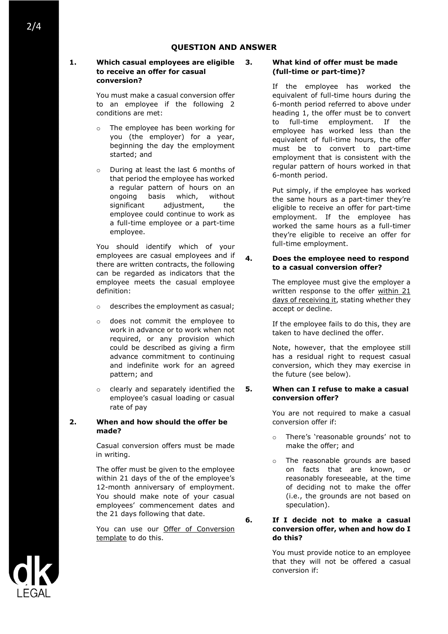#### **1. Which casual employees are eligible to receive an offer for casual conversion?**

You must make a casual conversion offer to an employee if the following 2 conditions are met:

- o The employee has been working for you (the employer) for a year, beginning the day the employment started; and
- o During at least the last 6 months of that period the employee has worked a regular pattern of hours on an ongoing basis which, without significant adjustment, the employee could continue to work as a full-time employee or a part-time employee.

You should identify which of your employees are casual employees and if there are written contracts, the following can be regarded as indicators that the employee meets the casual employee definition:

- o describes the employment as casual;
- o does not commit the employee to work in advance or to work when not required, or any provision which could be described as giving a firm advance commitment to continuing and indefinite work for an agreed pattern; and
- o clearly and separately identified the employee's casual loading or casual rate of pay

# **2. When and how should the offer be made?**

Casual conversion offers must be made in writing.

The offer must be given to the employee within 21 days of the of the employee's 12-month anniversary of employment. You should make note of your casual employees' commencement dates and the 21 days following that date.

You can use our Offer of Conversion template to do this.

#### **3. What kind of offer must be made (full-time or part-time)?**

If the employee has worked the equivalent of full-time hours during the 6-month period referred to above under heading 1, the offer must be to convert to full-time employment. If the employee has worked less than the equivalent of full-time hours, the offer must be to convert to part-time employment that is consistent with the regular pattern of hours worked in that 6-month period.

Put simply, if the employee has worked the same hours as a part-timer they're eligible to receive an offer for part-time employment. If the employee has worked the same hours as a full-timer they're eligible to receive an offer for full-time employment.

#### **4. Does the employee need to respond to a casual conversion offer?**

The employee must give the employer a written response to the offer within 21 days of receiving it, stating whether they accept or decline.

If the employee fails to do this, they are taken to have declined the offer.

Note, however, that the employee still has a residual right to request casual conversion, which they may exercise in the future (see below).

#### **5. When can I refuse to make a casual conversion offer?**

You are not required to make a casual conversion offer if:

- o There's 'reasonable grounds' not to make the offer; and
- o The reasonable grounds are based on facts that are known, or reasonably foreseeable, at the time of deciding not to make the offer (i.e., the grounds are not based on speculation).

**6. If I decide not to make a casual conversion offer, when and how do I do this?**

> You must provide notice to an employee that they will not be offered a casual conversion if:

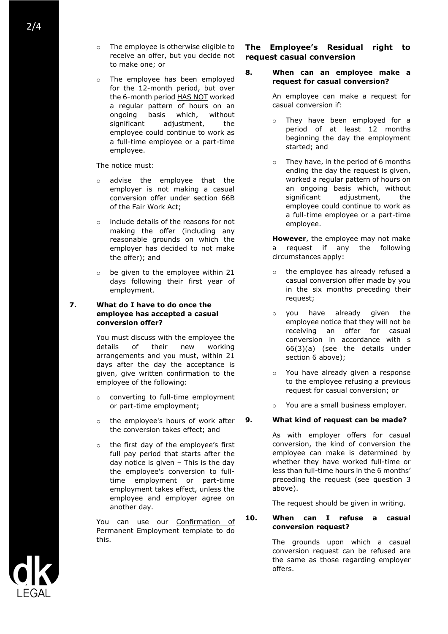2/4

- o The employee is otherwise eligible to receive an offer, but you decide not to make one; or
- o The employee has been employed for the 12-month period, but over the 6-month period HAS NOT worked a regular pattern of hours on an ongoing basis which, without significant adjustment, the employee could continue to work as a full-time employee or a part-time employee.

The notice must:

- o advise the employee that the employer is not making a casual conversion offer under section 66B of the Fair Work Act;
- o include details of the reasons for not making the offer (including any reasonable grounds on which the employer has decided to not make the offer); and
- o be given to the employee within 21 days following their first year of employment.
- **7. What do I have to do once the employee has accepted a casual conversion offer?**

You must discuss with the employee the details of their new working arrangements and you must, within 21 days after the day the acceptance is given, give written confirmation to the employee of the following:

- o converting to full-time employment or part-time employment;
- o the employee's hours of work after the conversion takes effect; and
- o the first day of the employee's first full pay period that starts after the day notice is given – This is the day the employee's conversion to fulltime employment or part-time employment takes effect, unless the employee and employer agree on another day.

You can use our **Confirmation** of Permanent Employment template to do this.

# **The Employee's Residual right to request casual conversion**

#### **8. When can an employee make a request for casual conversion?**

An employee can make a request for casual conversion if:

- They have been employed for a period of at least 12 months beginning the day the employment started; and
- o They have, in the period of 6 months ending the day the request is given, worked a regular pattern of hours on an ongoing basis which, without significant adjustment, the employee could continue to work as a full-time employee or a part-time employee.

**However**, the employee may not make a request if any the following circumstances apply:

- o the employee has already refused a casual conversion offer made by you in the six months preceding their request;
- o you have already given the employee notice that they will not be receiving an offer for casual conversion in accordance with s 66(3)(a) (see the details under section 6 above);
- o You have already given a response to the employee refusing a previous request for casual conversion; or
- You are a small business employer.

# **9. What kind of request can be made?**

As with employer offers for casual conversion, the kind of conversion the employee can make is determined by whether they have worked full-time or less than full-time hours in the 6 months' preceding the request (see question 3 above).

The request should be given in writing.

#### **10. When can I refuse a casual conversion request?**

The grounds upon which a casual conversion request can be refused are the same as those regarding employer offers.